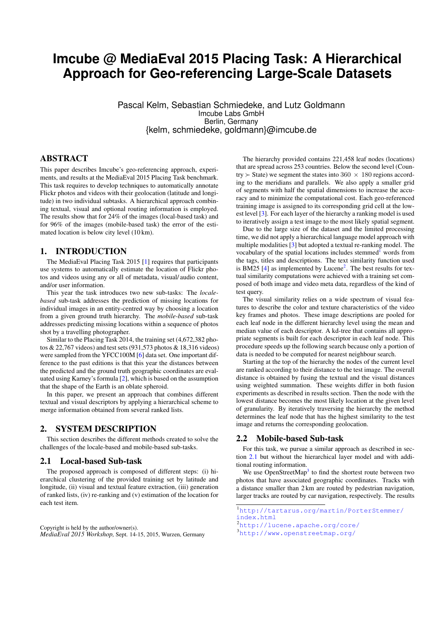# **Imcube @ MediaEval 2015 Placing Task: A Hierarchical Approach for Geo-referencing Large-Scale Datasets**

Pascal Kelm, Sebastian Schmiedeke, and Lutz Goldmann Imcube Labs GmbH Berlin, Germany {kelm, schmiedeke, goldmann}@imcube.de

# ABSTRACT

This paper describes Imcube's geo-referencing approach, experiments, and results at the MediaEval 2015 Placing Task benchmark. This task requires to develop techniques to automatically annotate Flickr photos and videos with their geolocation (latitude and longitude) in two individual subtasks. A hierarchical approach combining textual, visual and optional routing information is employed. The results show that for 24% of the images (local-based task) and for 96% of the images (mobile-based task) the error of the estimated location is below city level (10 km).

# 1. INTRODUCTION

The MediaEval Placing Task 2015 [\[1\]](#page-2-0) requires that participants use systems to automatically estimate the location of Flickr photos and videos using any or all of metadata, visual/ audio content, and/or user information.

This year the task introduces two new sub-tasks: The *localebased* sub-task addresses the prediction of missing locations for individual images in an entity-centred way by choosing a location from a given ground truth hierarchy. The *mobile-based* sub-task addresses predicting missing locations within a sequence of photos shot by a travelling photographer.

Similar to the Placing Task 2014, the training set (4,672,382 photos & 22,767 videos) and test sets (931,573 photos & 18,316 videos) were sampled from the YFCC100M [\[6\]](#page-2-1) data set. One important difference to the past editions is that this year the distances between the predicted and the ground truth geographic coordinates are evaluated using Karney's formula [\[2\]](#page-2-2), which is based on the assumption that the shape of the Earth is an oblate spheroid.

In this paper, we present an approach that combines different textual and visual descriptors by applying a hierarchical scheme to merge information obtained from several ranked lists.

### 2. SYSTEM DESCRIPTION

This section describes the different methods created to solve the challenges of the locale-based and mobile-based sub-tasks.

#### <span id="page-0-2"></span>2.1 Local-based Sub-task

The proposed approach is composed of different steps: (i) hierarchical clustering of the provided training set by latitude and longitude, (ii) visual and textual feature extraction, (iii) generation of ranked lists, (iv) re-ranking and (v) estimation of the location for each test item.

Copyright is held by the author/owner(s). *MediaEval 2015 Workshop,* Sept. 14-15, 2015, Wurzen, Germany

The hierarchy provided contains 221,458 leaf nodes (locations) that are spread across 253 countries. Below the second level (Country  $\geq$  State) we segment the states into 360  $\times$  180 regions according to the meridians and parallels. We also apply a smaller grid of segments with half the spatial dimensions to increase the accuracy and to minimize the computational cost. Each geo-referenced training image is assigned to its corresponding grid cell at the lowest level [\[3\]](#page-2-3). For each layer of the hierarchy a ranking model is used to iteratively assign a test image to the most likely spatial segment.

Due to the large size of the dataset and the limited processing time, we did not apply a hierarchical language model approach with multiple modalities [\[3\]](#page-2-3) but adopted a textual re-ranking model. The vocabulary of the spatial locations includes stemmed $<sup>1</sup>$  $<sup>1</sup>$  $<sup>1</sup>$  words from</sup> the tags, titles and descriptions. The text similarity function used is BM[2](#page-0-1)5  $[4]$  as implemented by Lucene<sup>2</sup>. The best results for textual similarity computations were achieved with a training set composed of both image and video meta data, regardless of the kind of test query.

The visual similarity relies on a wide spectrum of visual features to describe the color and texture characteristics of the video key frames and photos. These image descriptions are pooled for each leaf node in the different hierarchy level using the mean and median value of each descriptor. A kd-tree that contains all appropriate segments is built for each descriptor in each leaf node. This procedure speeds up the following search because only a portion of data is needed to be computed for nearest neighbour search.

Starting at the top of the hierarchy the nodes of the current level are ranked according to their distance to the test image. The overall distance is obtained by fusing the textual and the visual distances using weighted summation. These weights differ in both fusion experiments as described in results section. Then the node with the lowest distance becomes the most likely location at the given level of granularity. By iteratively traversing the hierarchy the method determines the leaf node that has the highest similarity to the test image and returns the corresponding geolocation.

#### <span id="page-0-4"></span>2.2 Mobile-based Sub-task

For this task, we pursue a similar approach as described in section [2.1](#page-0-2) but without the hierarchical layer model and with additional routing information.

We use OpenStreetMap<sup>[3](#page-0-3)</sup> to find the shortest route between two photos that have associated geographic coordinates. Tracks with a distance smaller than 2 km are routed by pedestrian navigation, larger tracks are routed by car navigation, respectively. The results

<span id="page-0-0"></span><sup>1</sup>[http://tartarus.org/martin/PorterStemmer/](http://tartarus.org/ martin/PorterStemmer/index.html) [index.html](http://tartarus.org/ martin/PorterStemmer/index.html)

<span id="page-0-1"></span>

<sup>2</sup><http://lucene.apache.org/core/>

<span id="page-0-3"></span><sup>3</sup><http://www.openstreetmap.org/>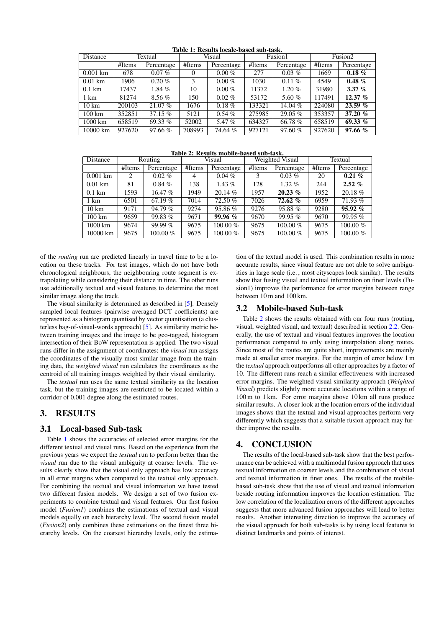<span id="page-1-0"></span>

| Distance          | Textual |            | IMMIV II IAVUMINJ IVVMIV MMJVM DMM IMMIM<br>Visual |            | Fusion1 |            | Fusion <sub>2</sub> |            |
|-------------------|---------|------------|----------------------------------------------------|------------|---------|------------|---------------------|------------|
|                   | #Items  | Percentage | #Items                                             | Percentage | #Items  | Percentage | #Items              | Percentage |
| $0.001$ km        | 678     | $0.07\%$   | $\Omega$                                           | $0.00\%$   | 277     | $0.03\%$   | 1669                | $0.18 \%$  |
| $0.01$ km         | 1906    | $0.20 \%$  | 3                                                  | $0.00\%$   | 1030    | $0.11\%$   | 4549                | $0.48 \%$  |
| $0.1 \text{ km}$  | 17437   | $1.84\%$   | 10                                                 | $0.00\%$   | 11372   | $1.20\%$   | 31980               | 3.37 $%$   |
| 1 km              | 81274   | $8.56\%$   | 150                                                | $0.02\%$   | 53172   | 5.60 $%$   | 117491              | 12.37 $%$  |
| $10 \text{ km}$   | 200103  | 21.07 %    | 1676                                               | $0.18 \%$  | 133321  | 14.04 %    | 224080              | 23.59%     |
| $100 \mathrm{km}$ | 352851  | 37.15%     | 5121                                               | $0.54\%$   | 275985  | $29.05\%$  | 353357              | 37.20 $%$  |
| 1000 km           | 658519  | 69.33 $%$  | 52002                                              | 5.47 $%$   | 634327  | 66.78%     | 658519              | 69.33 $%$  |
| 10000 km          | 927620  | 97.66%     | 708993                                             | 74.64 %    | 927121  | 97.60%     | 927620              | 97.66%     |

Table 1: Results locale-based sub-task.

Table 2: Results mobile-based sub-task.

<span id="page-1-1"></span>

| Distance          | Routing |            | Visual |            | Weighted Visual |            | Textual |            |
|-------------------|---------|------------|--------|------------|-----------------|------------|---------|------------|
|                   | #Items  | Percentage | #Items | Percentage | #Items          | Percentage | #Items  | Percentage |
| $0.001$ km        | 2       | $0.02\%$   | 4      | $0.04\%$   |                 | $0.03\%$   | 20      | $0.21\%$   |
| $0.01$ km         | 81      | $0.84\%$   | 138    | 1.43 $%$   | 128             | $1.32\%$   | 244     | $2.52\%$   |
| $0.1 \text{ km}$  | 1593    | 16.47%     | 1949   | 20.14%     | 1957            | 20.23%     | 1952    | 20.18 %    |
| 1 km              | 6501    | 67.19%     | 7014   | 72.50 %    | 7026            | 72.62 %    | 6959    | $71.93\%$  |
| $10 \text{ km}$   | 9171    | 94.79 %    | 9274   | $95.86\%$  | 9276            | 95.88%     | 9280    | 95.92%     |
| $100 \mathrm{km}$ | 9659    | 99.83 $%$  | 9671   | 99.96%     | 9670            | 99.95%     | 9670    | $99.95\%$  |
| 1000 km           | 9674    | 99.99%     | 9675   | $100.00\%$ | 9675            | $100.00\%$ | 9675    | $100.00\%$ |
| 10000 km          | 9675    | $100.00\%$ | 9675   | $100.00\%$ | 9675            | $100.00\%$ | 9675    | $100.00\%$ |

of the *routing* run are predicted linearly in travel time to be a location on these tracks. For test images, which do not have both chronological neighbours, the neighbouring route segment is extrapolating while considering their distance in time. The other runs use additionally textual and visual features to determine the most similar image along the track.

The visual similarity is determined as described in [\[5\]](#page-2-5). Densely sampled local features (pairwise averaged DCT coefficients) are represented as a histogram quantised by vector quantisation (a clusterless bag-of-visual-words approach) [\[5\]](#page-2-5). As similarity metric between training images and the image to be geo-tagged, histogram intersection of their BoW representation is applied. The two visual runs differ in the assignment of coordinates: the *visual* run assigns the coordinates of the visually most similar image from the training data, the *weighted visual* run calculates the coordinates as the centroid of all training images weighted by their visual similarity.

The *textual* run uses the same textual similarity as the location task, but the training images are restricted to be located within a corridor of 0.001 degree along the estimated routes.

# 3. RESULTS

## 3.1 Local-based Sub-task

Table [1](#page-1-0) shows the accuracies of selected error margins for the different textual and visual runs. Based on the experience from the previous years we expect the *textual* run to perform better than the *visual* run due to the visual ambiguity at coarser levels. The results clearly show that the visual only approach has low accuracy in all error margins when compared to the textual only approach. For combining the textual and visual information we have tested two different fusion models. We design a set of two fusion experiments to combine textual and visual features. Our first fusion model (*Fusion1*) combines the estimations of textual and visual models equally on each hierarchy level. The second fusion model (*Fusion2*) only combines these estimations on the finest three hierarchy levels. On the coarsest hierarchy levels, only the estimation of the textual model is used. This combination results in more accurate results, since visual feature are not able to solve ambiguities in large scale (i.e. , most cityscapes look similar). The results show that fusing visual and textual information on finer levels (Fusion1) improves the performance for error margins between range between 10 m and 100 km.

## 3.2 Mobile-based Sub-task

Table [2](#page-1-1) shows the results obtained with our four runs (routing, visual, weighted visual, and textual) described in section [2.2.](#page-0-4) Generally, the use of textual and visual features improves the location performance compared to only using interpolation along routes. Since most of the routes are quite short, improvements are mainly made at smaller error margins. For the margin of error below 1 m the *textual* approach outperforms all other approaches by a factor of 10. The different runs reach a similar effectiveness with increased error margins. The weighted visual similarity approach (*Weighted Visual*) predicts slightly more accurate locations within a range of 100 m to 1 km. For error margins above 10 km all runs produce similar results. A closer look at the location errors of the individual images shows that the textual and visual approaches perform very differently which suggests that a suitable fusion approach may further improve the results.

## 4. CONCLUSION

The results of the local-based sub-task show that the best performance can be achieved with a multimodal fusion approach that uses textual information on coarser levels and the combination of visual and textual information in finer ones. The results of the mobilebased sub-task show that the use of visual and textual information beside routing information improves the location estimation. The low correlation of the localization errors of the different approaches suggests that more advanced fusion approaches will lead to better results. Another interesting direction to improve the accuracy of the visual approach for both sub-tasks is by using local features to distinct landmarks and points of interest.